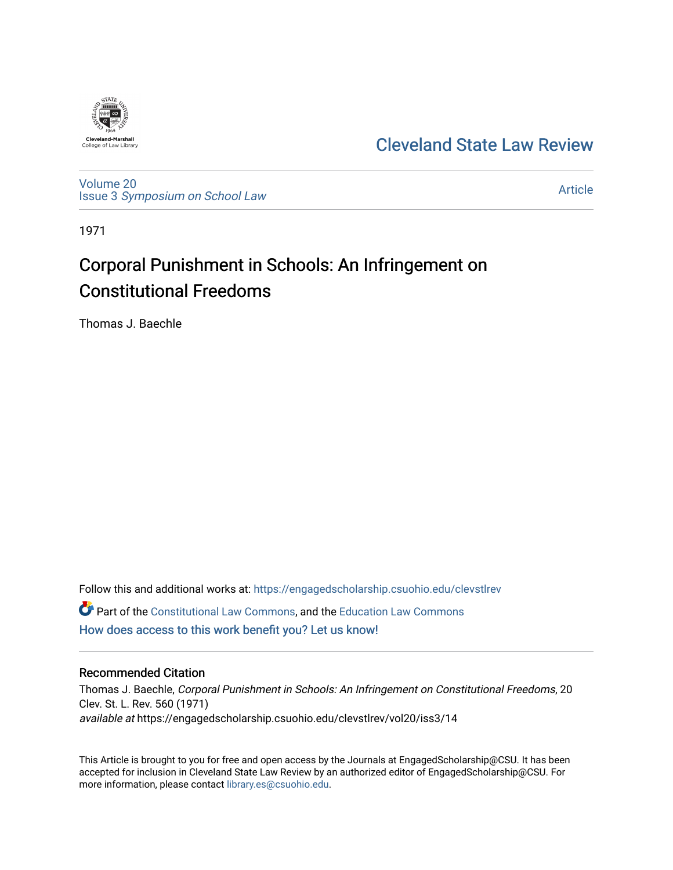

# [Cleveland State Law Review](https://engagedscholarship.csuohio.edu/clevstlrev)

[Volume 20](https://engagedscholarship.csuohio.edu/clevstlrev/vol20) Issue 3 [Symposium on School Law](https://engagedscholarship.csuohio.edu/clevstlrev/vol20/iss3) 

[Article](https://engagedscholarship.csuohio.edu/clevstlrev/vol20/iss3/14) 

1971

# Corporal Punishment in Schools: An Infringement on Constitutional Freedoms

Thomas J. Baechle

Follow this and additional works at: [https://engagedscholarship.csuohio.edu/clevstlrev](https://engagedscholarship.csuohio.edu/clevstlrev?utm_source=engagedscholarship.csuohio.edu%2Fclevstlrev%2Fvol20%2Fiss3%2F14&utm_medium=PDF&utm_campaign=PDFCoverPages) **C** Part of the [Constitutional Law Commons,](http://network.bepress.com/hgg/discipline/589?utm_source=engagedscholarship.csuohio.edu%2Fclevstlrev%2Fvol20%2Fiss3%2F14&utm_medium=PDF&utm_campaign=PDFCoverPages) and the Education Law Commons [How does access to this work benefit you? Let us know!](http://library.csuohio.edu/engaged/)

# Recommended Citation

Thomas J. Baechle, Corporal Punishment in Schools: An Infringement on Constitutional Freedoms, 20 Clev. St. L. Rev. 560 (1971) available at https://engagedscholarship.csuohio.edu/clevstlrev/vol20/iss3/14

This Article is brought to you for free and open access by the Journals at EngagedScholarship@CSU. It has been accepted for inclusion in Cleveland State Law Review by an authorized editor of EngagedScholarship@CSU. For more information, please contact [library.es@csuohio.edu](mailto:library.es@csuohio.edu).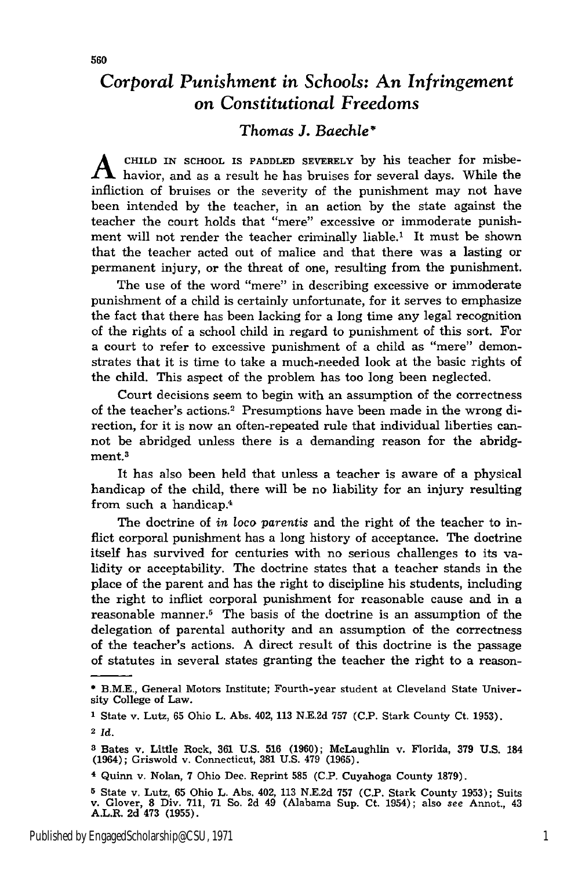# *Corporal Punishment in Schools: An Infringement on Constitutional Freedoms*

# *Thomas J. Baechle'*

CHILD IN SCHOOL IS PADDLED SEVERELY by his teacher for misbe- $\Lambda$  havior, and as a result he has bruises for several days. While the infliction of bruises or the severity of the punishment may not have been intended by the teacher, in an action by the state against the teacher the court holds that "mere" excessive or immoderate punishment will not render the teacher criminally liable.' It must be shown that the teacher acted out of malice and that there was a lasting or permanent injury, or the threat of one, resulting from the punishment.

The use of the word "mere" in describing excessive or immoderate punishment of a child is certainly unfortunate, for it serves to emphasize the fact that there has been lacking for a long time any legal recognition of the rights of a school child in regard to punishment of this sort. For a court to refer to excessive punishment of a child as "mere" demonstrates that it is time to take a much-needed look at the basic rights of the child. This aspect of the problem has too long been neglected.

Court decisions seem to begin with an assumption of the correctness of the teacher's actions.<sup>2</sup> Presumptions have been made in the wrong direction, for it is now an often-repeated rule that individual liberties cannot be abridged unless there is a demanding reason for the abridgment.<sup>3</sup>

It has also been held that unless a teacher is aware of a physical handicap of the child, there will be no liability for an injury resulting from such a handicap.<sup>4</sup>

The doctrine of *in* loco *parentis* and the right of the teacher to inflict corporal punishment has a long history of acceptance. The doctrine itself has survived for centuries with no serious challenges to its validity or acceptability. The doctrine states that a teacher stands in the place of the parent and has the right to discipline his students, including the right to inflict corporal punishment for reasonable cause and in a reasonable manner.<sup>5</sup> The basis of the doctrine is an assumption of the delegation of parental authority and an assumption of the correctness of the teacher's actions. A direct result of this doctrine is the passage of statutes in several states granting the teacher the right to a reason-

<sup>\*</sup> B.M.E., General Motors Institute; Fourth-year student at Cleveland State University College of Law.

**<sup>1</sup>** State v. Lutz, **65** Ohio L. Abs. 402, 113 N.E.2d **757 (C.P.** Stark County Ct. **1953).**

**<sup>2</sup>***Id.*

**<sup>3</sup>**Bates v. Little Rock, 361 U.S. **516** (1960); McLaughlin v. Florida, 379 U.S. 184 (1964); Griswold v. Connecticut, **381** U.S. 479 (1965).

**<sup>4</sup>**Quinn v. Nolan, 7 Ohio Dec. Reprint **585** (C.P. Cuyahoga County 1879).

<sup>&</sup>lt;sup>5</sup> State v. Lutz, 65 Ohio L. Abs. 402, 113 N.E.2d 757 (C.P. Stark County 1953); Suits v. Glover, 8 Div. 711, 71 So. 2d 49 (Alabama Sup. Ct. 1954); also see Annot., 43<br>A.L.R. 2d 473 (1955).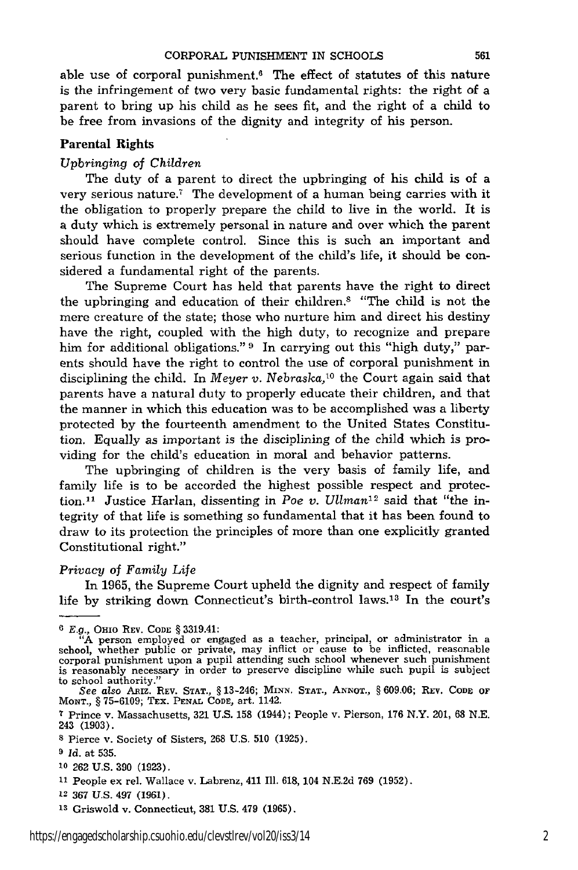able use of corporal punishment.6 The effect of statutes of this nature is the infringement of two very basic fundamental rights: the right of a parent to bring up his child as he sees fit, and the right of a child to be free from invasions of the dignity and integrity of his person.

#### Parental Rights

#### *Upbringing of Children*

The duty of a parent to direct the upbringing of his child is of a very serious nature.' The development of a human being carries with it the obligation to properly prepare the child to live in the world. It is a duty which is extremely personal in nature and over which the parent should have complete control. Since this is such an important and serious function in the development of the child's life, it should be considered a fundamental right of the parents.

The Supreme Court has held that parents have the right to direct the upbringing and education of their children.8 "The child is not the mere creature of the state; those who nurture him and direct his destiny have the right, coupled with the high duty, to recognize and prepare him for additional obligations." **9** In carrying out this "high duty," parents should have the right to control the use of corporal punishment in disciplining the child. In *Meyer v. Nebraska*,<sup>10</sup> the Court again said that parents have a natural duty to properly educate their children, and that the manner in which this education was to be accomplished was a liberty protected by the fourteenth amendment to the United States Constitution. Equally as important is the disciplining of the child which is providing for the child's education in moral and behavior patterns.

The upbringing of children is the very basis of family life, and family life is to be accorded the highest possible respect and protection.<sup>11</sup> Justice Harlan, dissenting in *Poe v. Ullman*<sup>12</sup> said that "the integrity of that life is something so fundamental that it has been found to draw to its protection the principles of more than one explicitly granted Constitutional right."

#### *Privacy of Family Life*

In 1965, the Supreme Court upheld the dignity and respect of family life by striking down Connecticut's birth-control laws.<sup>13</sup> In the court's

<sup>6</sup> *E.g.,* **OHIO** REV. **CODE** § 3319.41:

<sup>&</sup>quot;", "A person employed or engaged as a teacher, principal, or administrator in a school, whether public or private, may inflict or cause to be inflicted, reasonable corporal punishment upon a pupil attending such school wh is reasonably necessary in order to preserve discipline while such pupil is subject to school authority."

*See also* Asiz. REV. **STAT.,** § 13-246; Mim. **STAT., ANNOT.,** § 609.06; REV. **CODE** OF **MONT.,** § 75-6109; TEx. **PENAL** CODE, art. 1142.

**<sup>7</sup>** Prince v. Massachusetts, 321 U.S. 158 (1944); People v. Pierson, 176 N.Y. 201, **68** N.E. 243 **(1903).**

**<sup>8</sup>** Pierce v. Society of Sisters, 268 U.S. 510 (1925).

**<sup>9</sup>** *Id.* at 535.

**<sup>10 262</sup>** U.S. 390 (1923).

**<sup>11</sup>**People ex rel. Wallace v. Labrenz, 411 Ill. 618, 104 N.E.2d 769 (1952).

**<sup>12</sup> 367 U.S.** 497 (1961).

**<sup>13</sup>**Griswold v. Connecticut, 381 U.S. 479 (1965).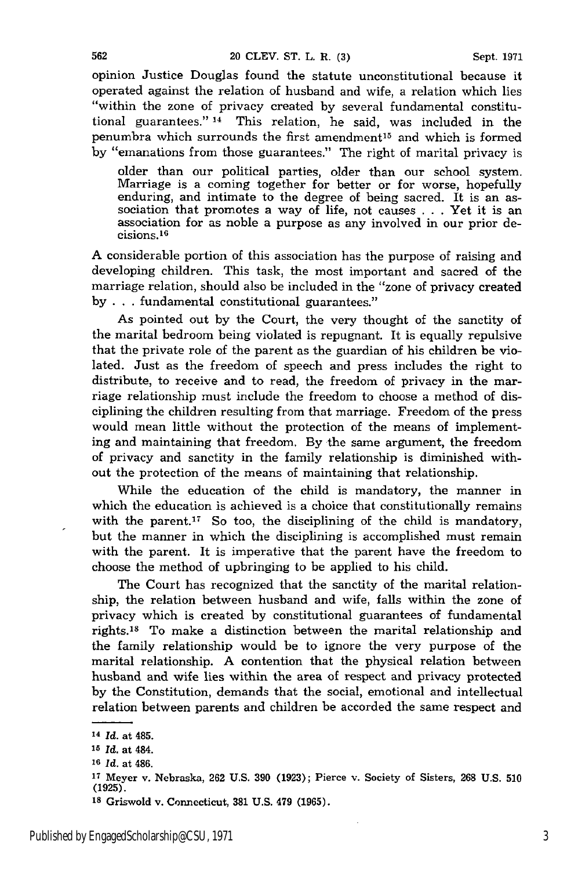opinion Justice Douglas found the statute unconstitutional because it operated against the relation of husband and wife, a relation which lies "within the zone of privacy created by several fundamental constitutional guarantees." **14** This relation, he said, was included in the penumbra which surrounds the first amendment<sup>15</sup> and which is formed by "emanations from those guarantees." The right of marital privacy is

older than our political parties, older than our school system. Marriage is a coming together for better or for worse, hopefully enduring, and intimate to the degree of being sacred. It is an association that promotes a way of life, not causes . . . Yet it is an association for as noble a purpose as any involved in our prior decisions.<sup>16</sup>

A considerable portion of this association has the purpose of raising and developing children. This task, the most important and sacred of the marriage relation, should also be included in the "zone of privacy created by . . . fundamental constitutional guarantees."

As pointed out by the Court, the very thought of the sanctity of the marital bedroom being violated is repugnant. It is equally repulsive that the private role of the parent as the guardian of his children be violated. Just as the freedom of speech and press includes the right to distribute, to receive and to read, the freedom of privacy in the marriage relationship must include the freedom to choose a method of disciplining the children resulting from that marriage. Freedom of the press would mean little without the protection of the means of implementing and maintaining that freedom. By the same argument, the freedom of privacy and sanctity in the family relationship is diminished without the protection of the means of maintaining that relationship.

While the education of the child is mandatory, the manner in which the education is achieved is a choice that constitutionally remains with the parent.<sup>17</sup> So too, the disciplining of the child is mandatory, but the manner in which the disciplining is accomplished must remain with the parent. It is imperative that the parent have the freedom to choose the method of upbringing to be applied to his child.

The Court has recognized that the sanctity of the marital relationship, the relation between husband and wife, falls within the zone of privacy which is created by constitutional guarantees of fundamental rights.18 To make a distinction between the marital relationship and the family relationship would be to ignore the very purpose of the marital relationship. A contention that the physical relation between husband and wife lies within the area of respect and privacy protected by the Constitution, demands that the social, emotional and intellectual relation between parents and children be accorded the same respect and

**<sup>14</sup>***Id.* at 485.

**<sup>15</sup>***Id.* at 484.

**<sup>16</sup>***Id.* at 486.

**<sup>17</sup>**Meyer v. Nebraska, 262 **U.S. 390 (1923);** Pierce v. Society of Sisters, **268 U.S. 510 (1925).**

**<sup>18</sup>**Griswold v. Connecticut, **381 U.S.** 479 **(1965).**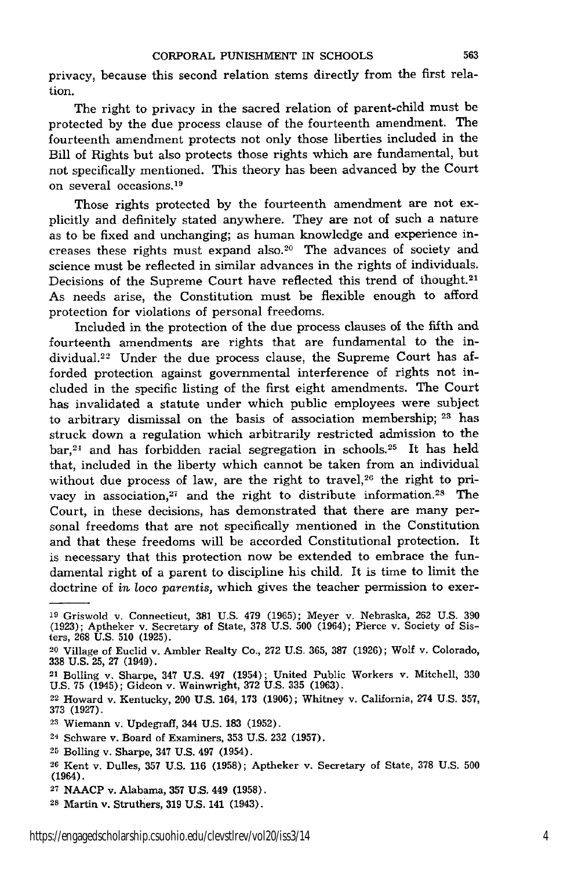privacy, because this second relation stems directly from the first relation.

The right to privacy in the sacred relation of parent-child must be protected by the due process clause of the fourteenth amendment. The fourteenth amendment protects not only those liberties included in the Bill of Rights but also protects those rights which are fundamental, but not specifically mentioned. This theory has been advanced by the Court on several occasions. <sup>19</sup>

Those rights protected by the fourteenth amendment are not explicitly and definitely stated anywhere. They are not of such a nature as to be fixed and unchanging; as human knowledge and experience increases these rights must expand also.<sup>20</sup> The advances of society and science must be reflected in similar advances in the rights of individuals. Decisions of the Supreme Court have reflected this trend of thought.<sup>21</sup> As needs arise, the Constitution must be flexible enough to afford protection for violations of personal freedoms.

Included in the protection of the due process clauses of the fifth and fourteenth amendments are rights that are fundamental to the individual.<sup>22</sup> Under the due process clause, the Supreme Court has afforded protection against governmental interference of rights not included in the specific listing of the first eight amendments. The Court has invalidated a statute under which public employees were subject to arbitrary dismissal on the basis of association membership; <sup>23</sup> has struck down a regulation which arbitrarily restricted admission to the bar,<sup>24</sup> and has forbidden racial segregation in schools.<sup>25</sup> It has held that, included in the liberty which cannot be taken from an individual without due process of law, are the right to travel,<sup>26</sup> the right to privacy in association,<sup>27</sup> and the right to distribute information.<sup>28</sup> The Court, in these decisions, has demonstrated that there are many personal freedoms that are not specifically mentioned in the Constitution and that these freedoms will be accorded Constitutional protection. It is necessary that this protection now be extended to embrace the fundamental right of a parent to discipline his child. It is time to limit the doctrine of *in* loco *parentis,* which gives the teacher permission to exer-

**<sup>19</sup>**Griswold v. Connecticut, **381** U.S. 479 (1965); Meyer v. Nebraska, 262 U.S. 390 (1923); Aptheker v. Secretary of State, 378 U.S. 500 (1964); Pierce v. Society of Sisters, 268 U.S. 510 (1925).

<sup>20</sup> Village of Euclid v. Ambler Realty Co., 272 U.S. 365, 387 (1926); Wolf v. Colorado, 338 U.S. 25, 27 (1949).

<sup>21</sup> Boiling v. Sharpe, 347 U.S. 497 (1954); United Public Workers v. Mitchell, 330 U.S. 75 (1945); Gideon v. Wainwright, 372 U.S. 335 (1963).

<sup>22</sup> Howard v. Kentucky, 200 U.S. 164, 173 (1906); Whitney v. California, 274 U.S. 357, 373 (1927).

<sup>23</sup> Wiemann v. Updegraff, 344 U.S. 183 (1952).

<sup>24</sup> Schware v. Board of Examiners, 353 U.S. 232 (1957).

<sup>25</sup> Bolling v. Sharpe, 347 U.S. 497 (1954).

<sup>26</sup> Kent v. Dulles, 357 U.S. 116 (1958); Aptheker v. Secretary of State, 378 U.S. 500 (1964).

**<sup>27</sup>**NAACP v. Alabama, **357** U.S. 449 **(1958).**

<sup>28</sup> Martin v. Struthers, **319** U.S. 141 (1943).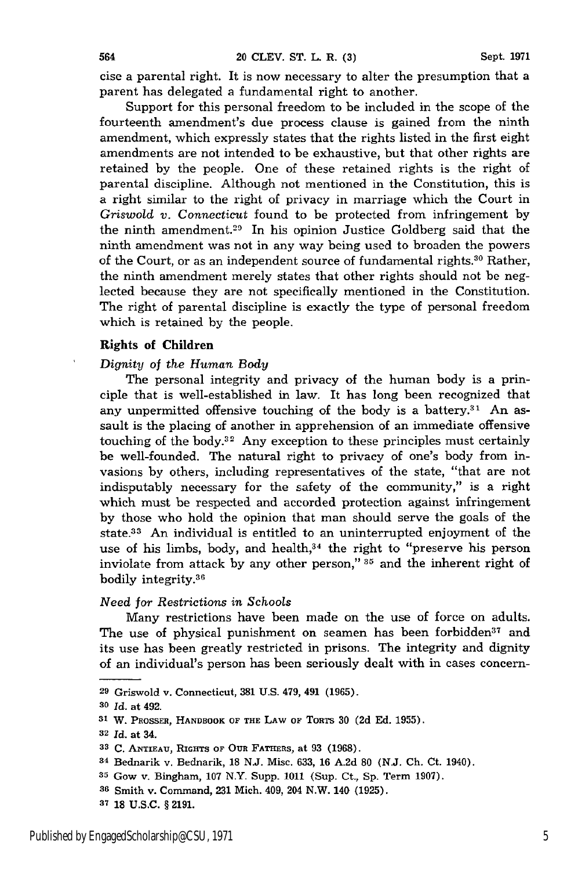cise a parental right. It is now necessary to alter the presumption that a parent has delegated a fundamental right to another.

Support for this personal freedom to be included in the scope of the fourteenth amendment's due process clause is gained from the ninth amendment, which expressly states that the rights listed in the first eight amendments are not intended to be exhaustive, but that other rights are retained by the people. One of these retained rights is the right of parental discipline. Although not mentioned in the Constitution, this is a right similar to the right of privacy in marriage which the Court in *Griswold v. Connecticut* found to be protected from infringement by the ninth amendment.<sup>29</sup> In his opinion Justice Goldberg said that the ninth amendment was not in any way being used to broaden the powers of the Court, or as an independent source of fundamental rights.30 Rather, the ninth amendment merely states that other rights should not be neglected because they are not specifically mentioned in the Constitution. The right of parental discipline is exactly the type of personal freedom which is retained by the people.

# **Rights of Children**

#### *Dignity of the Human Body*

The personal integrity and privacy of the human body is a principle that is well-established in law. It has long been recognized that any unpermitted offensive touching of the body is a battery. $31$  An assault is the placing of another in apprehension of an immediate offensive touching of the body.32 Any exception to these principles must certainly be well-founded. The natural right to privacy of one's body from invasions by others, including representatives of the state, "that are not indisputably necessary for the safety of the community," is a right which must be respected and accorded protection against infringement by those who hold the opinion that man should serve the goals of the state.33 An individual is entitled to an uninterrupted enjoyment of the use of his limbs, body, and health, $34$  the right to "preserve his person inviolate from attack by any other person," **95** and the inherent right of bodily integrity.36

#### *Need for Restrictions in Schools*

Many restrictions have been made on the use **of** force on adults. The use of physical punishment on seamen has been forbidden<sup>37</sup> and its use has been greatly restricted in prisons. The integrity and dignity of an individual's person has been seriously dealt with in cases concern-

**<sup>29</sup>** Griswold v. Connecticut, 381 U.S. 479, 491 (1965).

*<sup>30</sup>*Id. at 492.

**<sup>31</sup> W.** PsOSSER, **HANDBOOK OF THE LAW OF TORTS 30 (2d Ed. 1955).**

**<sup>32</sup>***Id.* at 34.

**<sup>33</sup> C. ANTIEAU, RiaGHTs OF** *OuR* FArHERS, at **93 (1968).**

**<sup>34</sup>**Bednarik v. Bednarik, 18 N.J. Misc. 633, 16 A.2d 80 (N.J. **Ch.** Ct. 1940).

**<sup>35</sup>**Gow v. Bingham, 107 N.Y. Supp. 1011 (Sup. Ct., Sp. Term 1907).

**<sup>36</sup>** Smith v. Command, 231 Mich. 409, 204 N.W. 140 (1925).

**<sup>37 18</sup> U.S.C.** § **2191.**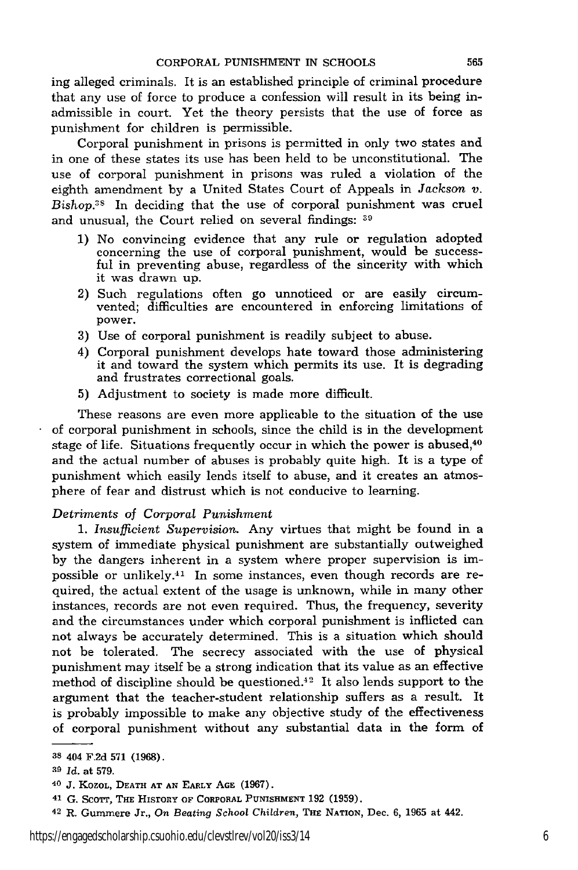ing alleged criminals. It is an established principle of criminal procedure that any use of force to produce a confession will result in its being inadmissible in court. Yet the theory persists that the use of force as punishment for children is permissible.

Corporal punishment in prisons is permitted in only two states and in one of these states its use has been held to be unconstitutional. The use of corporal punishment in prisons was ruled a violation of the eighth amendment by a United States Court of Appeals in *Jackson v.* Bishop.<sup>38</sup> In deciding that the use of corporal punishment was cruel and unusual, the Court relied on several findings: **39**

- 1) No convincing evidence that any rule or regulation adopted concerning the use of corporal punishment, would be successful in preventing abuse, regardless of the sincerity with which it was drawn up.
- 2) Such regulations often go unnoticed or are easily circumvented; difficulties are encountered in enforcing limitations of power.
- 3) Use of corporal punishment is readily subject to abuse.
- 4) Corporal punishment develops hate toward those administering it and toward the system which permits its use. It is degrading and frustrates correctional goals.
- 5) Adjustment to society is made more difficult.

These reasons are even more applicable to the situation of the use of corporal punishment in schools, since the child is in the development stage of life. Situations frequently occur in which the power is abused,<sup>40</sup> and the actual number of abuses is probably quite high. It is a type of punishment which easily lends itself to abuse, and it creates an atmosphere of fear and distrust which is not conducive to learning.

# *Detriments of Corporal Punishment*

1. *Insufficient Supervision.* Any virtues that might be found in a system of immediate physical punishment are substantially outweighed by the dangers inherent in a system where proper supervision is impossible or unlikely. $41$  In some instances, even though records are required, the actual extent of the usage is unknown, while in many other instances, records are not even required. Thus, the frequency, severity and the circumstances under which corporal punishment is inflicted can not always be accurately determined. This is a situation which should not be tolerated. The secrecy associated with the use of physical punishment may itself be a strong indication that its value as an effective method of discipline should be questioned. $42$  It also lends support to the argument that the teacher-student relationship suffers as a result. It is probably impossible to make any objective study of the effectiveness of corporal punishment without any substantial data in the form of

**<sup>38</sup>** 404 F.2d 571 (1968).

**a9** *Id. at* **579.**

<sup>40</sup> **J.** KozOL, **DEATH AT AN EARLY AGE (1967).**

<sup>&</sup>lt;sup>41</sup> G. SCOTT, THE HISTORY OF CORPORAL PUNISHMENT 192 (1959).

**<sup>42</sup>**R. **Gummere Jr.,** *On Beating School Children,* **THE** NATION, Dec. 6, 1965 **at** 442.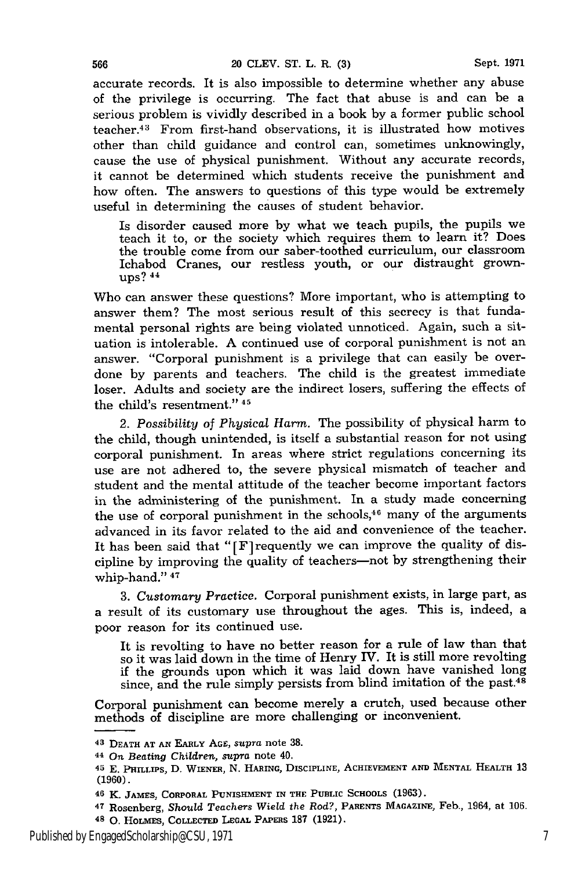accurate records. It is also impossible to determine whether any abuse of the privilege is occurring. The fact that abuse is and can be a serious problem is vividly described in a book by a former public school teacher.43 From first-hand observations, it is illustrated how motives other than child guidance and control can, sometimes unknowingly, cause the use of physical punishment. Without any accurate records, it cannot be determined which students receive the punishment and how often. The answers to questions of this type would be extremely useful in determining the causes of student behavior.

Is disorder caused more by what we teach pupils, the pupils we teach it to, or the society which requires them to learn it? Does the trouble come from our saber-toothed curriculum, our classroom Ichabod Cranes, our restless youth, or our distraught grownups? **44**

Who can answer these questions? More important, who is attempting to answer them? The most serious result of this secrecy is that fundamental personal rights are being violated unnoticed. Again, such a situation is intolerable. A continued use of corporal punishment is not an answer. "Corporal punishment is a privilege that can easily be overdone by parents and teachers. The child is the greatest immediate loser. Adults and society are the indirect losers, suffering the effects of the child's resentment." 45

2. *Possibility of Physical Harm.* The possibility of physical harm to the child, though unintended, is itself a substantial reason for not using corporal punishment. In areas where strict regulations concerning its use are not adhered to, the severe physical mismatch of teacher and student and the mental attitude of the teacher become important factors in the administering of the punishment. In a study made concerning the use of corporal punishment in the schools, $46$  many of the arguments advanced in its favor related to the aid and convenience of the teacher. It has been said that " $[F]$  requently we can improve the quality of discipline by improving the quality of teachers-not by strengthening their whip-hand." 47

3. *Customary Practice.* Corporal punishment exists, in large part, as a result of its customary use throughout the ages. This is, indeed, a poor reason for its continued use.

It is revolting to have no better reason for a rule of law than that so it was laid down in the time of Henry IV. It is still more revolting if the grounds upon which it was laid down have vanished long since, and the rule simply persists from blind imitation of the past. $48$ 

Corporal punishment can become merely a crutch, used because other methods of discipline are more challenging or inconvenient.

566

<sup>43</sup>**DEATH AT AN EARLY AGE,** *supra* note 38.

<sup>44</sup>*On Beating Children, supra* **note** 40.

<sup>45</sup> **E.** PHILnLPS, **D.** WIENER, **N. HARING,** DISCIPLINE, **ACHIEVEMENT AND MENTAL HEALTH 13 (1960).**

**<sup>46</sup>** K. **JAMES, CORPORAL PUNISHMENT IN THE** PUBLIC **SCHOOLS (1963).**

**<sup>47</sup>** Rosenberg, *Should Teachers* Wield *the Rod?,* **PARENTS** MAGAZINE, Feb., 1964, at **106. 48 0.** HOLMES, COLLECTED **LEGAL PAPERS** 187 (1921).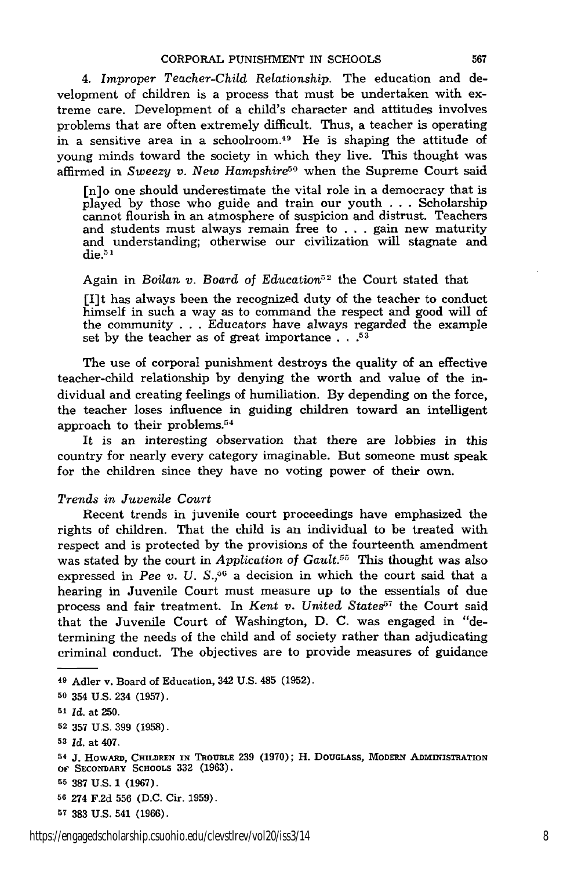*4. Improper Teacher-Child Relationship.* The education and development of children is a process that must be undertaken with extreme care. Development of a child's character and attitudes involves problems that are often extremely difficult. Thus, a teacher is operating in a sensitive area in a schoolroom.<sup>49</sup> He is shaping the attitude of young minds toward the society in which they live. This thought was affirmed in *Sweezy v. New Hampshire*<sup>50</sup> when the Supreme Court said

[n] o one should underestimate the vital role in a democracy that is played by those who guide and train our youth . **.** . Scholarship cannot flourish in an atmosphere of suspicion and distrust. Teachers and students must always remain free to . . . gain new maturity and understanding; otherwise our civilization will stagnate and  $die.^{51}$ 

# Again in Boilan *v.* Board of Education<sup>52</sup> the Court stated that

[I]t has always been the recognized duty of the teacher to conduct himself in such a way as to command the respect and good will of the community . . . Educators have always regarded the example set by the teacher as of great importance . . **.53**

The use of corporal punishment destroys the quality of an effective teacher-child relationship by denying the worth and value of the individual and creating feelings of humiliation. By depending on the force, the teacher loses influence in guiding children toward an intelligent approach to their problems.<sup>54</sup>

It is an interesting observation that there are lobbies in this country for nearly every category imaginable. But someone must speak for the children since they have no voting power of their own.

# *Trends in Juvenile Court*

Recent trends in juvenile court proceedings have emphasized the rights of children. That the child is an individual to be treated with respect and is protected by the provisions of the fourteenth amendment was stated by the court in *Application of Gault.55* This thought was also expressed in *Pee v. U.*  $S^{56}$  a decision in which the court said that a hearing in Juvenile Court must measure up to the essentials of due process and fair treatment. In *Kent v. United States57* the Court said that the Juvenile Court of Washington, D. C. was engaged in "determining the needs of the child and of society rather than adjudicating criminal conduct. The objectives are to provide measures of guidance

**<sup>49</sup>**Adler v. Board of Education, 342 **U.S.** 485 **(1952).**

**<sup>50</sup> 354 U.S. 234** (1957).

**<sup>51</sup>***Id.* at **250.**

**<sup>52</sup> 357 U.S. 399 (1958).**

**<sup>53</sup>***Id.* at 407.

<sup>54</sup>**J.** HowARD, **CHMDREN IN TROUBLE 239 (1970);** H. DOUGLAss, **MODERN ADMINISTRATION** OF **SECONDARY ScHooLs 332 (1963).**

**<sup>55</sup>387 U.S. 1 (1967).**

**<sup>56 274</sup> F.2d 556 (D.C. Cir. 1959).**

**<sup>5</sup>T 383 U.S.** 541 **(1966).**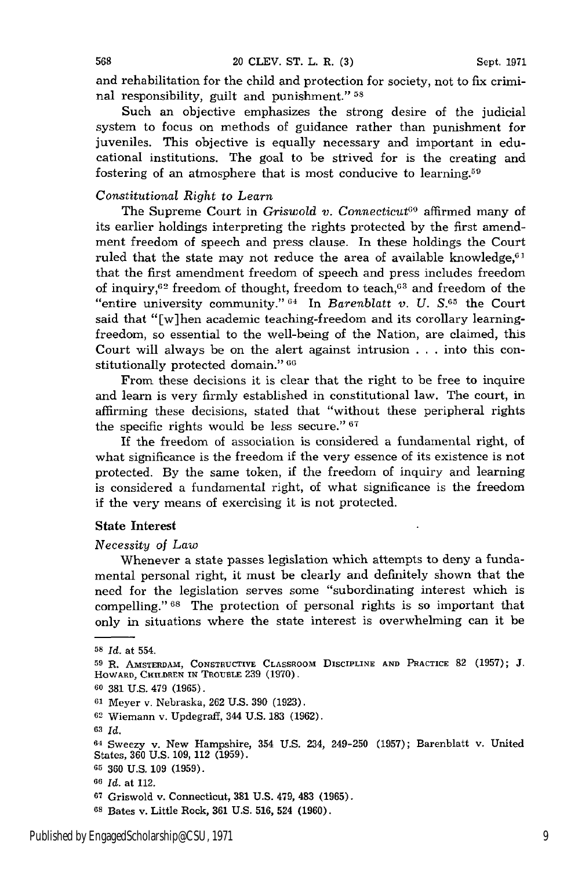and rehabilitation for the child and protection for society, not to fix criminal responsibility, guilt and punishment." **58**

Such an objective emphasizes the strong desire of the judicial system to focus on methods of guidance rather than punishment for juveniles. This objective is equally necessary and important in educational institutions. The goal to be strived for is the creating and fostering of an atmosphere that is most conducive to learning.59

# *Constitutional Right to Learn*

The Supreme Court in *Griswold v. Connecticut'0* affirmed many of its earlier holdings interpreting the rights protected by the first amendment freedom of speech and press clause. In these holdings the Court ruled that the state may not reduce the area of available knowledge, $6<sup>1</sup>$ that the first amendment freedom of speech and press includes freedom of inquiry,  $62$  freedom of thought, freedom to teach,  $63$  and freedom of the "entire university community."  $04$  In *Barenblatt v. U. S.*  $05$  the Court said that "[w]hen academic teaching-freedom and its corollary learningfreedom, so essential to the well-being of the Nation, are claimed, this Court will always be on the alert against intrusion . . .into this constitutionally protected domain." 66

From these decisions it is clear that the right to be free to inquire and learn is very firmly established in constitutional law. The court, in affirming these decisions, stated that "without these peripheral rights the specific rights would be less secure." **67**

If the freedom of association is considered a fundamental right, of what significance is the freedom if the very essence of its existence is not protected. By the same token, if the freedom of inquiry and learning is considered a fundamental right, of what significance is the freedom if the very means of exercising it is not protected.

## State Interest

#### *Necessity of Law*

Whenever a state passes legislation which attempts to deny a fundamental personal right, it must be clearly and definitely shown that the need for the legislation serves some "subordinating interest which is compelling." **1s** The protection of personal rights is so important that only in situations where the state interest is overwhelming can it be

**<sup>58</sup>***Id.* at 554.

**<sup>59</sup>**R. AmSTERDAM, CONSTRUCTIVE CLASSROOM DISCIPLINE **AND** PRACTICE **82 (1957); J.** HOWARD, CHILDREN IN TROUBLE **239** (1970).

<sup>60 381</sup> U.S. 479 (1965).

<sup>61</sup> Meyer v. Nebraska, 262 U.S. 390 (1923).

<sup>62</sup> Wiemann v. Updegraff, 344 U.S. 183 (1962).

**<sup>63</sup>** *Id.*

<sup>64</sup> Sweezy v. New Hampshire, 354 U.S. 234, 249-250 (1957); Barenblatt v. United States, **360** U.S. 109, 112 (1959).

**G5** 360 U.S. 109 (1959).

*<sup>66</sup> Id.* at 112.

**<sup>67</sup>**Griswold v. Connecticut, **381** U.S. 479, 483 (1965).

<sup>6</sup>s Bates v. Little Rock, 361 U.S. 516, 524 (1960).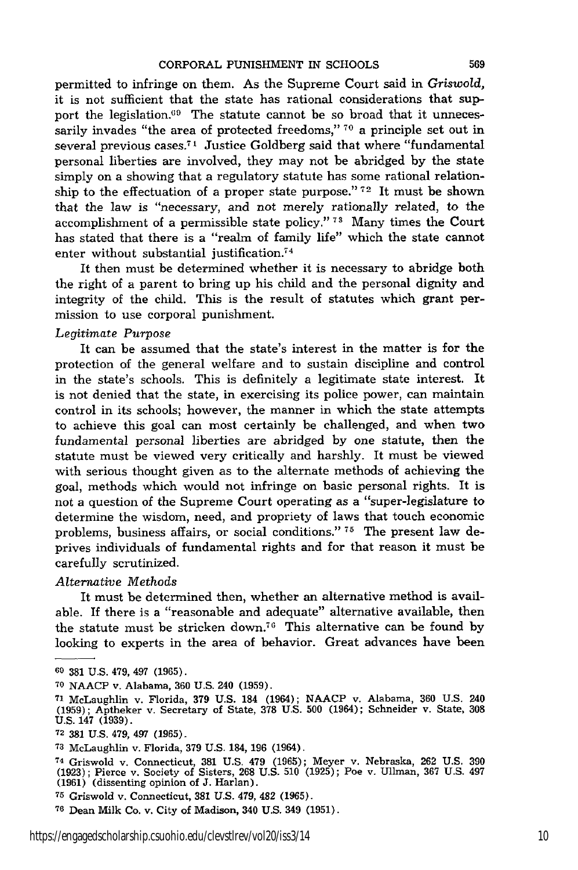permitted to infringe on them. As the Supreme Court said in *Griswold,* it is not sufficient that the state has rational considerations that support the legislation.<sup>69</sup> The statute cannot be so broad that it unnecessarily invades "the area of protected freedoms," **70** a principle set out in several previous cases.<sup>71</sup> Justice Goldberg said that where "fundamental personal liberties are involved, they may not be abridged by the state simply on a showing that a regulatory statute has some rational relationship to the effectuation of a proper state purpose." **72** It must be shown that the law is "necessary, and not merely rationally related, to the accomplishment of a permissible state policy." **73** Many times the Court has stated that there is a "realm of family life" which the state cannot enter without substantial justification.74

It then must be determined whether it is necessary to abridge both the right of a parent to bring up his child and the personal dignity and integrity of the child. This is the result of statutes which grant permission to use corporal punishment.

# *Legitimate Purpose*

It can be assumed that the state's interest in the matter is for the protection of the general welfare and to sustain discipline and control in the state's schools. This is definitely a legitimate state interest. It is not denied that the state, in exercising its police power, can maintain control in its schools; however, the manner in which the state attempts to achieve this goal can most certainly be challenged, and when two fundamental personal liberties are abridged by one statute, then the statute must be viewed very critically and harshly. It must be viewed with serious thought given as to the alternate methods of achieving the goal, methods which would not infringe on basic personal rights. It is not a question of the Supreme Court operating as a "super-legislature to determine the wisdom, need, and propriety of laws that touch economic problems, business affairs, or social conditions." **75** The present law deprives individuals of fundamental rights and for that reason it must be carefully scrutinized.

#### *Alternative Methods*

It must be determined then, whether an alternative method is available. If there is a "reasonable and adequate" alternative available, then the statute must be stricken down.<sup>76</sup> This alternative can be found by looking to experts in the area of behavior. Great advances have been

**<sup>60 381</sup>** U.S. 479, 497 **(1965).**

**<sup>70</sup>** NAACP v. Alabama, 360 U.S. 240 (1959).

**<sup>71</sup>**McLaughlin v. Florida, 379 U.S. 184 (1964); NAACP v. Alabama, 360 U.S. 240 (1959); Aptheker v. Secretary of State, **378** U.S. **500** (1964); Schneider v. State, **308** U.S. 147 (1939).

**<sup>72</sup> 381** U.S. 479, 497 (1965).

**<sup>73</sup>**McLaughlin v. Florida, 379 U.S. 184, 196 (1964).

<sup>&</sup>lt;sup>74</sup> Griswold v. Connecticut, 381 U.S. 479 (1965); Meyer v. Nebraska, 262 U.S. 39<br>(1923); Pierce v. Society of Sisters, 268 U.S. 510 (1925); Poe v. Ullman, 367 U.S. 497<br>(1961) (dissenting opinion of J. Harlan).

**<sup>75</sup>**Griswold v. Connecticut, **381** U.S. 479, 482 **(1965).**

**<sup>76</sup>**Dean Milk Co. v. City of Madison, 340 U.S. 349 (1951).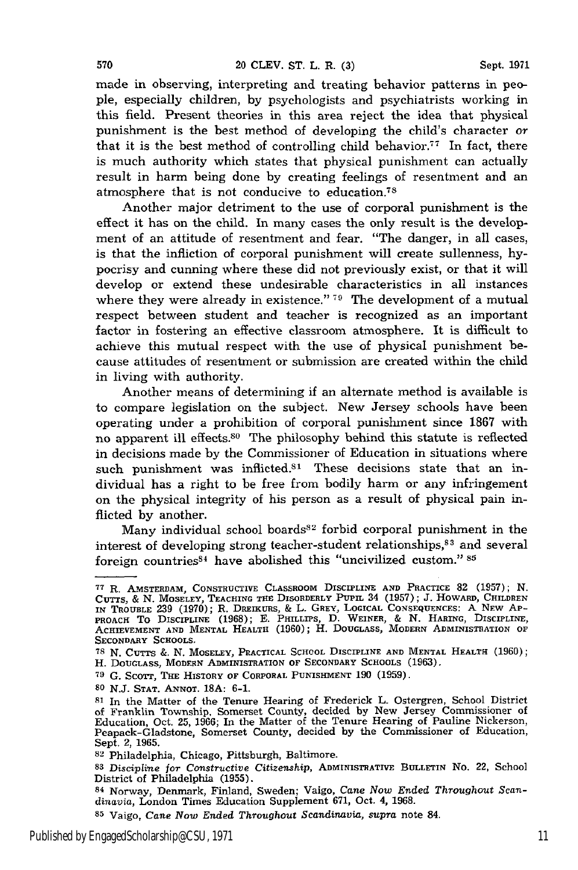made in observing, interpreting and treating behavior patterns in people, especially children, by psychologists and psychiatrists working in this field. Present theories in this area reject the idea that physical punishment is the best method of developing the child's character or that it is the best method of controlling child behavior.<sup>77</sup> In fact, there is much authority which states that physical punishment can actually result in harm being done by creating feelings of resentment and an atmosphere that is not conducive to education.7S

Another major detriment to the use of corporal punishment is the effect it has on the child. In many cases the only result is the development of an attitude of resentment and fear. "The danger, in all cases, is that the infliction of corporal punishment will create sullenness, **hy**pocrisy and cunning where these did not previously exist, or that it will develop or extend these undesirable characteristics in all instances where they were already in existence." **79** The development of a mutual respect between student and teacher is recognized as an important factor in fostering an effective classroom atmosphere. It is difficult to achieve this mutual respect with the use of physical punishment because attitudes of resentment or submission are created within the child in living with authority.

Another means of determining if an alternate method is available is to compare legislation on the subject. New Jersey schools have been operating under a prohibition of corporal punishment since 1867 with no apparent ill effects.80 The philosophy behind this statute is reflected in decisions made by the Commissioner of Education in situations where such punishment was inflicted. $81$  These decisions state that an individual has a right to be free from bodily harm or any infringement on the physical integrity of his person as a result of physical pain inflicted by another.

Many individual school boards<sup>82</sup> forbid corporal punishment in the interest of developing strong teacher-student relationships,<sup>83</sup> and several foreign countries<sup>84</sup> have abolished this "uncivilized custom." 85

570

**<sup>77</sup>**R. AMSTERDAM, **CONSTRUCTIVE** CLASSROOM DISCIPLINE AND PRACTICE 82 (1957); **N.** CUTTS, & N. MOSELEY, TEACHING THE DISORDERLY PUPIL 34 (1957); J. HOWARD, CHILDREN<br>IN TROUBLE 239 (1970); R. DREIKURS, & L. GREY, LOGICAL CONSEQUENCES: A NEW AP-<br>PROACH TO DISCIPLINE (1968); E. PHILLIPS, D. WEINER, & N. HAR **SECONDARY SCHOOLS.**

**<sup>78</sup> N.** CUTTS **&. N.** MOSELEY, PRACTICAL **SCHOOL** DISCIPLINE **AND MENTAL HEALTH** (1960); H. DOUGLASS, MODERN ADMINISTRATION OF SECONDARY SCHOOLS **(1963).**

**<sup>79</sup> G.** ScoTT, **THE** HISTORY OF CORPORAL **PUNISHMENT 190 (1959).**

**<sup>80</sup>** N.J. **STAT.** ANNOT. **18A:** 6-1.

<sup>&</sup>lt;sup>81</sup> In the Matter of the Tenure Hearing of Frederick L. Ostergren, School District of Franklin Township, Somerset County, decided by New Jersey Commissioner of Education, Oct. 25, 1966; In the Matter of the Tenure Hearing Peapack-Gladstone, Somerset County, decided by the Commissioner of Education, Sept. 2, 1965.

<sup>82</sup> Philadelphia, Chicago, Pittsburgh, Baltimore.

**<sup>83</sup>**Discipline *for Constructive Citizenship,* ADMINISTRATIVE BULLETIN No. 22, School District of Philadelphia (1955).

<sup>84</sup> Norway, Denmark, Finland, Sweden; Vaigo, Cane *Now Ended Throughout Scan*dinavia, London Times Education Supplement 671, Oct. 4, 1968.

**<sup>85</sup>**Vaigo, *Cane Now Ended Throughout Scandinavia,* supra note 84.